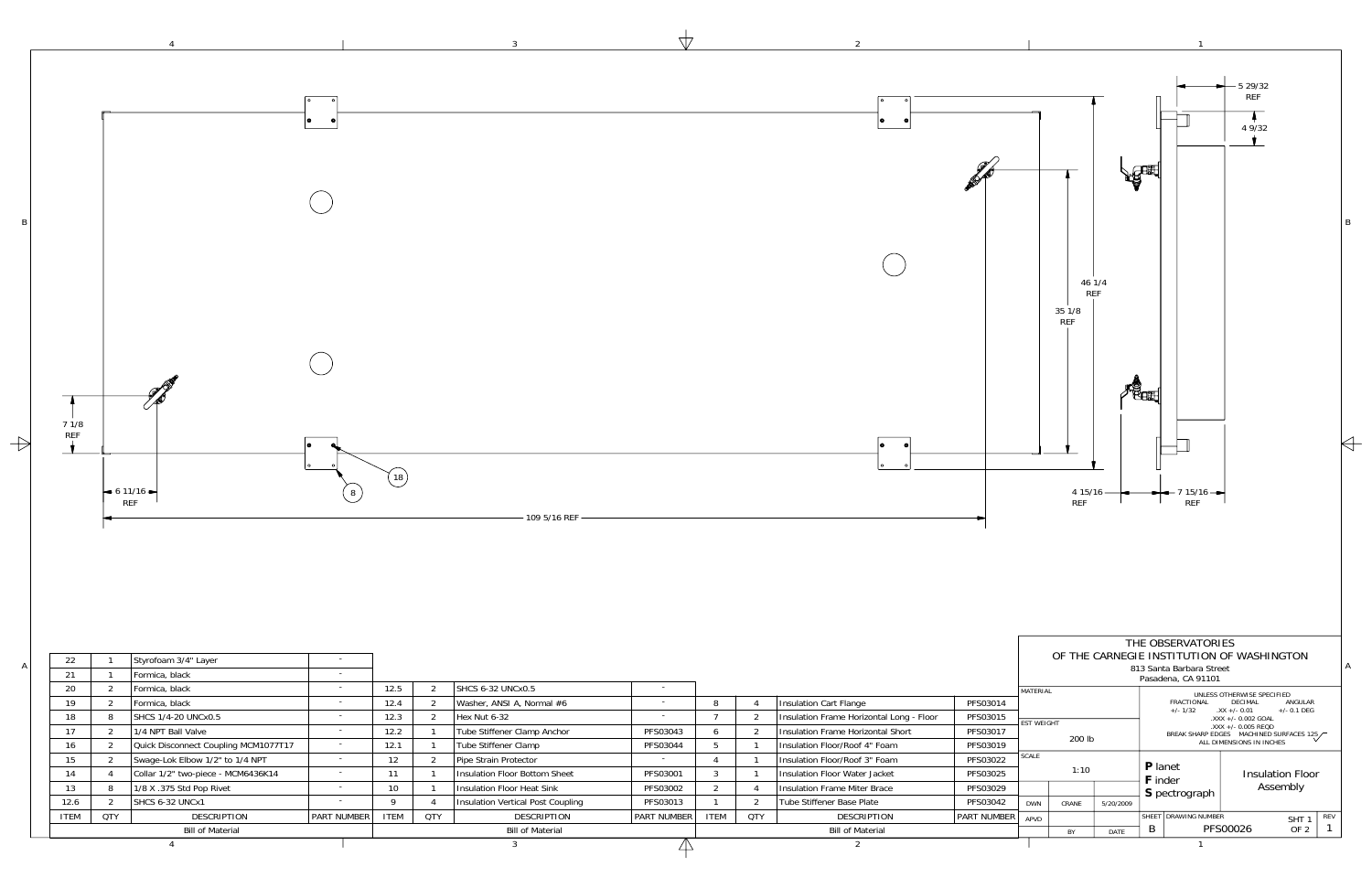1

1

3

| <b>Bill of Material</b> |            |                                      |                          |             | <b>Bill of Material</b> |                                      |                          |              | <b>Bill of Material</b> |                                          |                  |  |
|-------------------------|------------|--------------------------------------|--------------------------|-------------|-------------------------|--------------------------------------|--------------------------|--------------|-------------------------|------------------------------------------|------------------|--|
| <b>ITEM</b>             | <b>QTY</b> | <b>DESCRIPTION</b>                   | <b>PART NUMBER</b>       | <b>ITEM</b> | <b>QTY</b>              | <b>DESCRIPTION</b>                   | <b>PART NUMBER</b>       | <b>ITEM</b>  | QTY                     | <b>DESCRIPTION</b>                       | <b>PART NUMB</b> |  |
| 12.6                    |            | SHCS 6-32 UNCx1                      |                          |             |                         | Insulation Vertical Post Coupling    | PFS03013                 |              |                         | Tube Stiffener Base Plate                | PFS03042         |  |
| 13                      |            | 1/8 X .375 Std Pop Rivet             | $\overline{\phantom{a}}$ | 10          |                         | <b>Insulation Floor Heat Sink</b>    | PFS03002                 |              |                         | <b>Insulation Frame Miter Brace</b>      | PFS03029         |  |
| 14                      |            | Collar 1/2" two-piece - MCM6436K14   |                          |             |                         | <b>Insulation Floor Bottom Sheet</b> | PFS03001                 |              |                         | Insulation Floor Water Jacket            | PFS03025         |  |
| 15                      |            | Swage-Lok Elbow 1/2" to 1/4 NPT      |                          | 12          |                         | Pipe Strain Protector                |                          |              |                         | Insulation Floor/Roof 3" Foam            | PFS03022         |  |
| 16                      |            | Quick Disconnect Coupling MCM1077T17 |                          | 12.1        |                         | Tube Stiffener Clamp                 | PFS03044                 |              |                         | Insulation Floor/Roof 4" Foam            | PFS03019         |  |
| 17                      |            | 1/4 NPT Ball Valve                   | $\overline{\phantom{a}}$ | 12.2        |                         | Tube Stiffener Clamp Anchor          | PFS03043                 | <sub>b</sub> |                         | Insulation Frame Horizontal Short        | PFS03017         |  |
| 18                      |            | SHCS 1/4-20 UNCx0.5                  | $\overline{\phantom{a}}$ | 12.3        |                         | Hex Nut 6-32                         | $\overline{\phantom{a}}$ |              |                         | Insulation Frame Horizontal Long - Floor | PFS03015         |  |
| 19                      |            | Formica, black                       | $\overline{\phantom{a}}$ | 12.4        |                         | Washer, ANSI A, Normal #6            | $\overline{\phantom{0}}$ | 8            |                         | Insulation Cart Flange                   | PFS03014         |  |
| 20                      |            | Formica, black                       | $\overline{\phantom{a}}$ | 12.5        |                         | <b>SHCS 6-32 UNCx0.5</b>             | $\overline{\phantom{0}}$ |              |                         |                                          |                  |  |
| 21                      |            | Formica, black                       | . .                      |             |                         |                                      |                          |              |                         |                                          |                  |  |
| 22                      |            | Styrofoam 3/4" Layer                 |                          |             |                         |                                      |                          |              |                         |                                          |                  |  |

4

B



 $\forall$ 

 $\overline{2}$